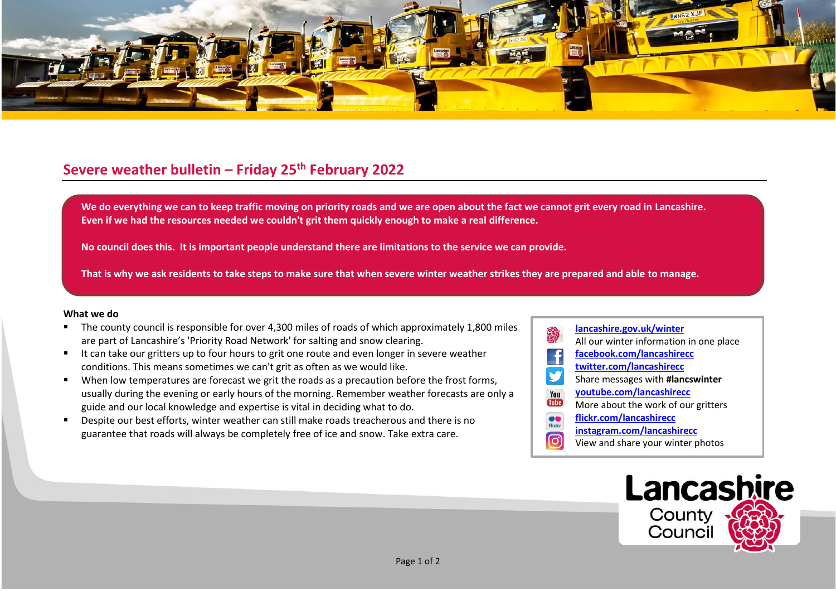

## **Severe weather bulletin – Friday 25th February 2022**

We do everything we can to keep traffic moving on priority roads and we are open about the fact we cannot grit every road in Lancashire. **Even if we had the resources needed we couldn't grit them quickly enough to make a real difference.**

**No council does this. It is important people understand there are limitations to the service we can provide.**

**That is why we ask residents to take steps to make sure that when severe winter weather strikes they are prepared and able to manage.**

## **What we do**

- The county council is responsible for over 4,300 miles of roads of which approximately 1,800 miles are part of Lancashire's 'Priority Road Network' for salting and snow clearing.
- It can take our gritters up to four hours to grit one route and even longer in severe weather conditions. This means sometimes we can't grit as often as we would like.
- When low temperatures are forecast we grit the roads as a precaution before the frost forms, usually during the evening or early hours of the morning. Remember weather forecasts are only a guide and our local knowledge and expertise is vital in deciding what to do.
- Despite our best efforts, winter weather can still make roads treacherous and there is no guarantee that roads will always be completely free of ice and snow. Take extra care.
- **[lancashire.gov.uk/winter](http://www.lancashire.gov.uk/winter)** All our winter information in one place **[facebook.com/lancashirecc](http://www.facebook.com/lancashirecc) [twitter.com/lancashirecc](http://www.twitter.com/lancashirecc)** y Share messages with **#lancswinter [youtube.com/lancashirecc](http://www.youtube.com/lancashirecc)** You **Tilte** More about the work of our gritters  $\bullet$ **[flickr.com/lancashirecc](http://www.flickr.com/lancashirecc)** flickr **[instagram.com/lancashirecc](http://www.instagram.com/lancashirecc)** ြင View and share your winter photos